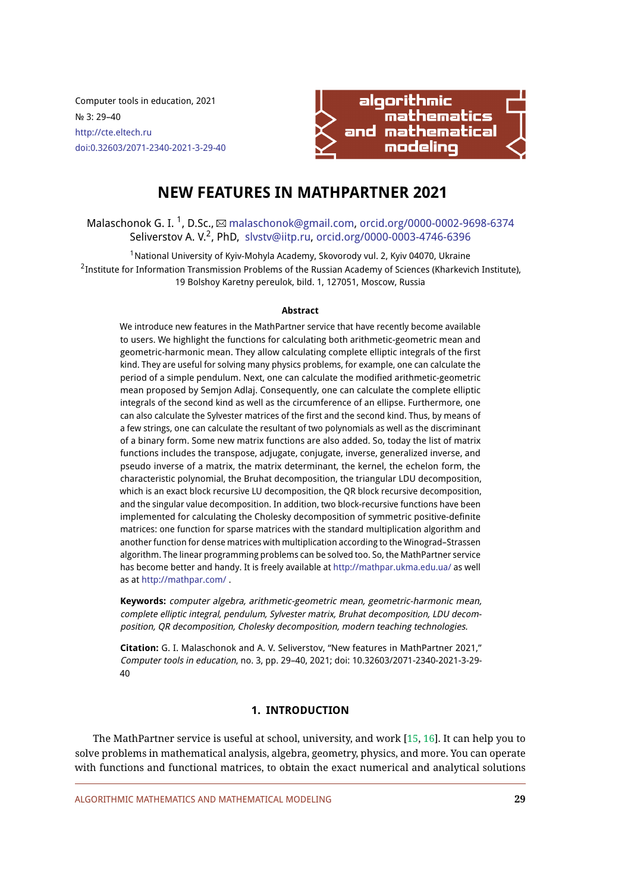Computer tools in education, 2021 № 3: 29–40 <http://cte.eltech.ru> [doi:0.32603/2071-2340-2021-3-29-40](http://dx.doi.org/0.32603/2071-2340-2021-3-29-40)



# **NEW FEATURES IN MATHPARTNER 2021**

# Malaschonok G. I.  $^1$ , D.Sc.,  $\boxtimes$  [malaschonok@gmail.com,](mailto:malaschonok@gmail.com) [orcid.org/0000-0002-9698-6374](http://orcid.org/0000-0002-9698-6374) Seliverstov A. V.<sup>2</sup>, PhD, [slvstv@iitp.ru,](mailto:slvstv@iitp.ru) [orcid.org/0000-0003-4746-6396](http://orcid.org/0000-0003-4746-6396)

 $1$ National University of Kyiv-Mohyla Academy, Skovorody vul. 2, Kyiv 04070, Ukraine  $^2$ Institute for Information Transmission Problems of the Russian Academy of Sciences (Kharkevich Institute), 19 Bolshoy Karetny pereulok, bild. 1, 127051, Moscow, Russia

#### **Abstract**

We introduce new features in the MathPartner service that have recently become available to users. We highlight the functions for calculating both arithmetic-geometric mean and geometric-harmonic mean. They allow calculating complete elliptic integrals of the first kind. They are useful for solving many physics problems, for example, one can calculate the period of a simple pendulum. Next, one can calculate the modified arithmetic-geometric mean proposed by Semjon Adlaj. Consequently, one can calculate the complete elliptic integrals of the second kind as well as the circumference of an ellipse. Furthermore, one can also calculate the Sylvester matrices of the first and the second kind. Thus, by means of a few strings, one can calculate the resultant of two polynomials as well as the discriminant of a binary form. Some new matrix functions are also added. So, today the list of matrix functions includes the transpose, adjugate, conjugate, inverse, generalized inverse, and pseudo inverse of a matrix, the matrix determinant, the kernel, the echelon form, the characteristic polynomial, the Bruhat decomposition, the triangular LDU decomposition, which is an exact block recursive LU decomposition, the QR block recursive decomposition, and the singular value decomposition. In addition, two block-recursive functions have been implemented for calculating the Cholesky decomposition of symmetric positive-definite matrices: one function for sparse matrices with the standard multiplication algorithm and another function for dense matrices with multiplication according to the Winograd–Strassen algorithm. The linear programming problems can be solved too. So, the MathPartner service has become better and handy. It is freely available at <http://mathpar.ukma.edu.ua/> as well as at <http://mathpar.com/> .

**Keywords:** computer algebra, arithmetic-geometric mean, geometric-harmonic mean, complete elliptic integral, pendulum, Sylvester matrix, Bruhat decomposition, LDU decomposition, QR decomposition, Cholesky decomposition, modern teaching technologies.

**Citation:** G. I. Malaschonok and A. V. Seliverstov, "New features in MathPartner 2021," Computer tools in education, no. 3, pp. 29–40, 2021; doi: 10.32603/2071-2340-2021-3-29- 40

# **1. INTRODUCTION**

The MathPartner service is useful at school, university, and work [\[15,](#page-10-0) [16\]](#page-10-1). It can help you to solve problems in mathematical analysis, algebra, geometry, physics, and more. You can operate with functions and functional matrices, to obtain the exact numerical and analytical solutions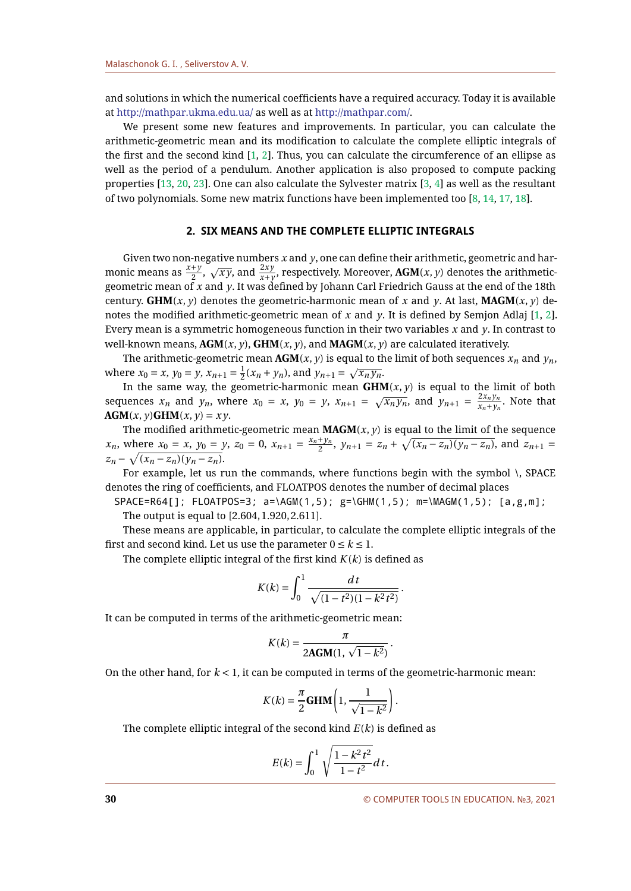and solutions in which the numerical coefficients have a required accuracy. Today it is available at <http://mathpar.ukma.edu.ua/> as well as at [http://mathpar.com/.](http://mathpar.com/)

We present some new features and improvements. In particular, you can calculate the arithmetic-geometric mean and its modification to calculate the complete elliptic integrals of the first and the second kind  $[1, 2]$  $[1, 2]$  $[1, 2]$ . Thus, you can calculate the circumference of an ellipse as well as the period of a pendulum. Another application is also proposed to compute packing properties [\[13,](#page-9-2) [20,](#page-10-2) [23\]](#page-10-3). One can also calculate the Sylvester matrix [\[3,](#page-9-3) [4\]](#page-9-4) as well as the resultant of two polynomials. Some new matrix functions have been implemented too [\[8,](#page-9-5) [14,](#page-9-6) [17,](#page-10-4) [18\]](#page-10-5).

# **2. SIX MEANS AND THE COMPLETE ELLIPTIC INTEGRALS**

Given two non-negative numbers *x* and *y*, one can define their arithmetic, geometric and harmonic means as  $\frac{x+y}{2}$ ,  $\sqrt{xy}$ , and  $\frac{2xy}{x+y}$ , respectively. Moreover, **AGM**(*x*, *y*) denotes the arithmeticgeometric mean of *x* and *y*. It was defined by Johann Carl Friedrich Gauss at the end of the 18th century. **GHM** $(x, y)$  denotes the geometric-harmonic mean of x and y. At last, **MAGM** $(x, y)$  denotes the modified arithmetic-geometric mean of *x* and *y*. It is defined by Semjon Adlaj [\[1,](#page-9-0) [2\]](#page-9-1). Every mean is a symmetric homogeneous function in their two variables *x* and *y*. In contrast to well-known means,  $AGM(x, y)$ ,  $GHM(x, y)$ , and  $MAGM(x, y)$  are calculated iteratively.

The arithmetic-geometric mean  $AGM(x, y)$  is equal to the limit of both sequences  $x_n$  and  $y_n$ , where  $x_0 = x$ ,  $y_0 = y$ ,  $x_{n+1} = \frac{1}{2}$  $\frac{1}{2}(x_n + y_n)$ , and  $y_{n+1} = \sqrt{x_n y_n}$ .

In the same way, the geometric-harmonic mean  $GHM(x, y)$  is equal to the limit of both sequences  $x_n$  and  $y_n$ , where  $x_0 = x$ ,  $y_0 = y$ ,  $x_{n+1} = \sqrt{x_n y_n}$ , and  $y_{n+1} = \frac{2x_n y_n}{x_n + y_n}$ . Note that  $AGM(x, y)GHM(x, y) = xy.$ 

The modified arithmetic-geometric mean  $MAGM(x, y)$  is equal to the limit of the sequence *x<sub>n</sub>*, where  $x_0 = x$ ,  $y_0 = y$ ,  $z_0 = 0$ ,  $x_{n+1} = \frac{x_n + y_n}{2}$  $\frac{y+y_n}{2}$ ,  $y_{n+1} = z_n + \sqrt{(x_n - z_n)(y_n - z_n)}$ , and  $z_{n+1} = z_n$  $z_n - \sqrt{(x_n - z_n)(y_n - z_n)}.$ 

For example, let us run the commands, where functions begin with the symbol \, SPACE denotes the ring of coefficients, and FLOATPOS denotes the number of decimal places

 $SPACE = R64[]$ ;  $FLOATPOS = 3$ ;  $a = \AGM(1,5)$ ;  $g = \GHM(1,5)$ ;  $m = \MAGM(1,5)$ ; [a,g,m]; The output is equal to [2.604, 1.920, 2.611].

These means are applicable, in particular, to calculate the complete elliptic integrals of the first and second kind. Let us use the parameter  $0 \le k \le 1$ .

The complete elliptic integral of the first kind *K*(*k*) is defined as

$$
K(k) = \int_0^1 \frac{dt}{\sqrt{(1 - t^2)(1 - k^2 t^2)}}.
$$

It can be computed in terms of the arithmetic-geometric mean:

$$
K(k) = \frac{\pi}{2\mathbf{AGM}(1, \sqrt{1 - k^2})}.
$$

On the other hand, for  $k < 1$ , it can be computed in terms of the geometric-harmonic mean:

$$
K(k) = \frac{\pi}{2} \textbf{GHM}\left(1, \frac{1}{\sqrt{1-k^2}}\right).
$$

The complete elliptic integral of the second kind *E*(*k*) is defined as

$$
E(k) = \int_0^1 \sqrt{\frac{1 - k^2 t^2}{1 - t^2}} dt.
$$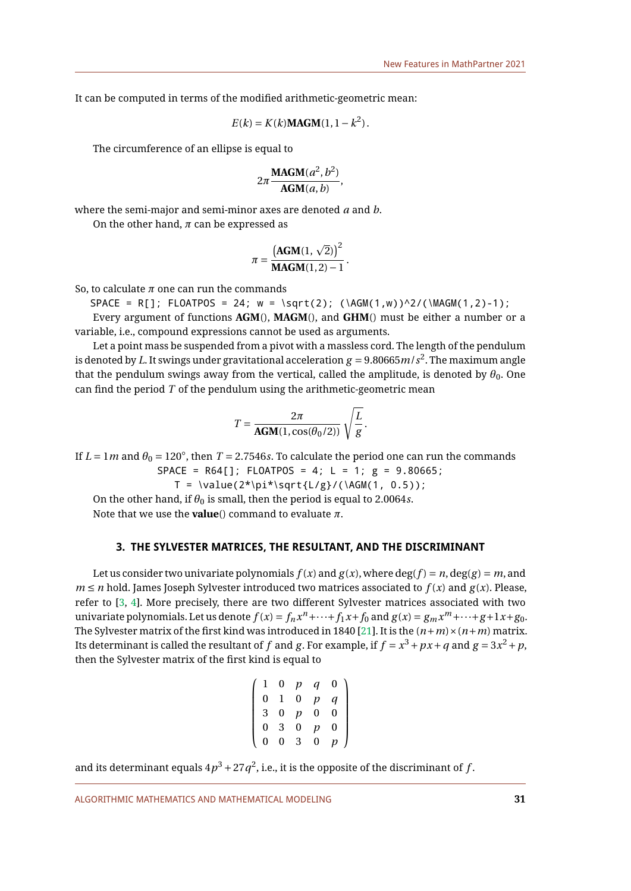It can be computed in terms of the modified arithmetic-geometric mean:

$$
E(k) = K(k) \mathbf{MAGM}(1, 1 - k^2).
$$

The circumference of an ellipse is equal to

$$
2\pi \frac{\text{MAGM}(a^2, b^2)}{\text{AGM}(a, b)},
$$

where the semi-major and semi-minor axes are denoted *a* and *b*.

On the other hand,  $\pi$  can be expressed as

$$
\pi = \frac{\left(\text{AGM}(1, \sqrt{2})\right)^2}{\text{MAGM}(1, 2) - 1}.
$$

So, to calculate  $\pi$  one can run the commands

$$
SPACE = R[]; FLOATPOS = 24; w = \sqrt{2}; (\AGM(1, w))^{2}/(\MAGM(1, 2)-1);
$$

Every argument of functions **AGM**(), **MAGM**(), and **GHM**() must be either a number or a variable, i.e., compound expressions cannot be used as arguments.

Let a point mass be suspended from a pivot with a massless cord. The length of the pendulum is denoted by  $L$ . It swings under gravitational acceleration  $g$  = 9.80665 $m/s^2$ . The maximum angle that the pendulum swings away from the vertical, called the amplitude, is denoted by  $\theta_0$ . One can find the period *T* of the pendulum using the arithmetic-geometric mean

$$
T = \frac{2\pi}{\text{AGM}(1, \cos(\theta_0/2))} \sqrt{\frac{L}{g}}.
$$

If  $L = 1m$  and  $\theta_0 = 120^\circ$ , then  $T = 2.7546s$ . To calculate the period one can run the commands  $SPACE = R64[]$ ; FLOATPOS = 4; L = 1; g = 9.80665;

$$
T = \value(2^{\star} \sqrt{\text{L/g}} / (\lambda G M(1, 0.5));
$$

On the other hand, if  $\theta_0$  is small, then the period is equal to 2.0064*s*. Note that we use the **value**() command to evaluate *π*.

# **3. THE SYLVESTER MATRICES, THE RESULTANT, AND THE DISCRIMINANT**

Let us consider two univariate polynomials  $f(x)$  and  $g(x)$ , where  $deg(f) = n$ ,  $deg(g) = m$ , and  $m \le n$  hold. James Joseph Sylvester introduced two matrices associated to  $f(x)$  and  $g(x)$ . Please, refer to [\[3,](#page-9-3) [4\]](#page-9-4). More precisely, there are two different Sylvester matrices associated with two univariate polynomials. Let us denote  $f(x) = f_n x^n + \cdots + f_1 x + f_0$  and  $g(x) = g_m x^m + \cdots + g + 1x + g_0$ . The Sylvester matrix of the first kind was introduced in 1840 [\[21\]](#page-10-6). It is the  $(n+m) \times (n+m)$  matrix. Its determinant is called the resultant of  $f$  and  $g$ . For example, if  $f = x^3 + px + q$  and  $g = 3x^2 + p$ , then the Sylvester matrix of the first kind is equal to

$$
\left(\n\begin{array}{cccccc}\n1 & 0 & p & q & 0 \\
0 & 1 & 0 & p & q \\
3 & 0 & p & 0 & 0 \\
0 & 3 & 0 & p & 0 \\
0 & 0 & 3 & 0 & p\n\end{array}\n\right)
$$

and its determinant equals  $4p^3 + 27q^2$ , i.e., it is the opposite of the discriminant of  $f$ .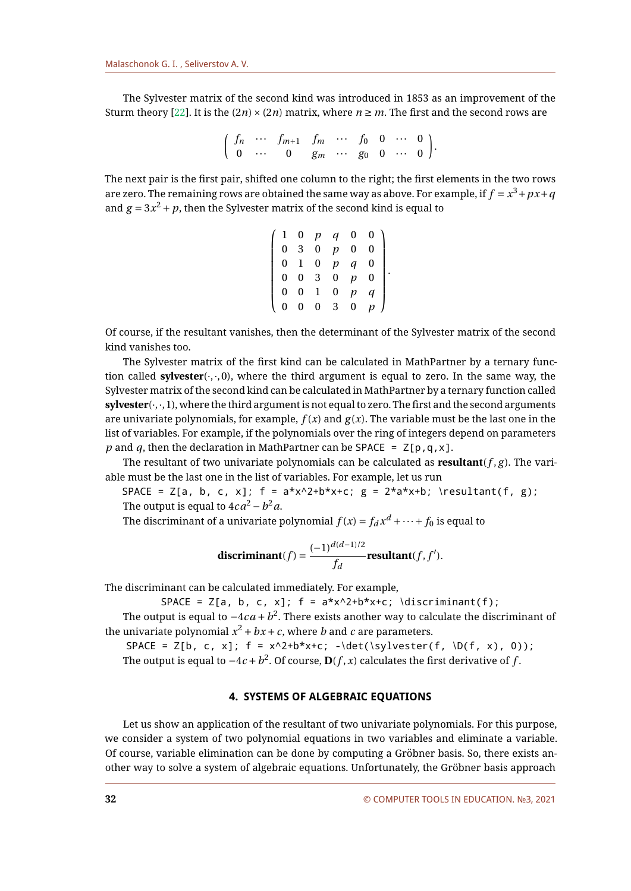The Sylvester matrix of the second kind was introduced in 1853 as an improvement of the Sturm theory [\[22\]](#page-10-7). It is the  $(2n) \times (2n)$  matrix, where  $n \ge m$ . The first and the second rows are

$$
\left(\begin{array}{ccccccccc}\nf_n & \cdots & f_{m+1} & f_m & \cdots & f_0 & 0 & \cdots & 0 \\
0 & \cdots & 0 & g_m & \cdots & g_0 & 0 & \cdots & 0\n\end{array}\right).
$$

The next pair is the first pair, shifted one column to the right; the first elements in the two rows are zero. The remaining rows are obtained the same way as above. For example, if  $f = x^3 + px + q$ and  $g = 3x^2 + p$ , then the Sylvester matrix of the second kind is equal to

$$
\left(\n\begin{array}{cccccc}\n1 & 0 & p & q & 0 & 0 \\
0 & 3 & 0 & p & 0 & 0 \\
0 & 1 & 0 & p & q & 0 \\
0 & 0 & 3 & 0 & p & 0 \\
0 & 0 & 1 & 0 & p & q \\
0 & 0 & 0 & 3 & 0 & p\n\end{array}\n\right).
$$

Of course, if the resultant vanishes, then the determinant of the Sylvester matrix of the second kind vanishes too.

The Sylvester matrix of the first kind can be calculated in MathPartner by a ternary function called **sylvester** $(\cdot, \cdot, 0)$ , where the third argument is equal to zero. In the same way, the Sylvester matrix of the second kind can be calculated in MathPartner by a ternary function called **sylvester**(·,·,1), where the third argument is not equal to zero. The first and the second arguments are univariate polynomials, for example,  $f(x)$  and  $g(x)$ . The variable must be the last one in the list of variables. For example, if the polynomials over the ring of integers depend on parameters *p* and *q*, then the declaration in MathPartner can be SPACE =  $Z[p,q,x]$ .

The resultant of two univariate polynomials can be calculated as **resultant** $(f, g)$ . The variable must be the last one in the list of variables. For example, let us run

SPACE =  $Z[a, b, c, x]$ ; f =  $a*x^2+b*x+c$ ; g =  $2*a*x+b$ ; \resultant(f, g); The output is equal to 4 $ca^2$  −  $b^2a$ .

The discriminant of a univariate polynomial  $f(x) = f_d x^d + \cdots + f_0$  is equal to

$$
\textbf{discriminant}(f) = \frac{(-1)^{d(d-1)/2}}{f_d}\textbf{resultant}(f, f').
$$

The discriminant can be calculated immediately. For example,

SPACE =  $Z[a, b, c, x]$ ; f =  $a*x^2+b*x+c$ ; \discriminant(f);

The output is equal to  $-4 \, c \, a + b^2.$  There exists another way to calculate the discriminant of the univariate polynomial  $x^2 + bx + c$ , where  $b$  and  $c$  are parameters.

SPACE =  $Z[b, c, x]$ ; f =  $x^2+b*x+c$ ; -\det(\sylvester(f, \D(f, x), 0)); The output is equal to  $-4c + b^2$ . Of course,  $\mathbf{D}(f, x)$  calculates the first derivative of  $f$ .

# **4. SYSTEMS OF ALGEBRAIC EQUATIONS**

Let us show an application of the resultant of two univariate polynomials. For this purpose, we consider a system of two polynomial equations in two variables and eliminate a variable. Of course, variable elimination can be done by computing a Gröbner basis. So, there exists another way to solve a system of algebraic equations. Unfortunately, the Gröbner basis approach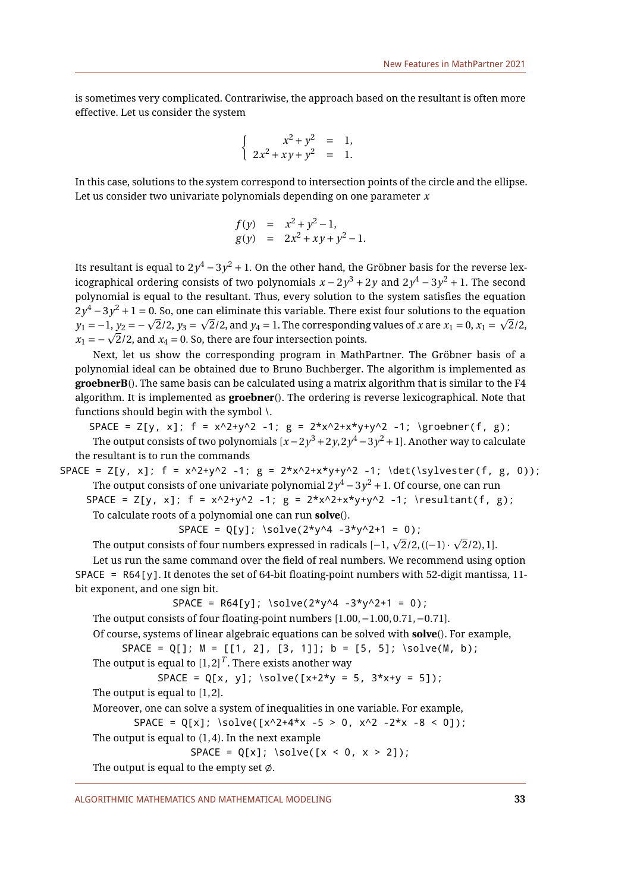is sometimes very complicated. Contrariwise, the approach based on the resultant is often more effective. Let us consider the system

$$
\begin{cases}\nx^2 + y^2 = 1, \\
2x^2 + xy + y^2 = 1.\n\end{cases}
$$

In this case, solutions to the system correspond to intersection points of the circle and the ellipse. Let us consider two univariate polynomials depending on one parameter *x*

$$
f(y) = x^2 + y^2 - 1,
$$
  
 
$$
g(y) = 2x^2 + xy + y^2 - 1.
$$

Its resultant is equal to 2 $y^4$   $-$  3 $y^2$   $+$  1. On the other hand, the Gröbner basis for the reverse lexicographical ordering consists of two polynomials  $x - 2y^3 + 2y$  and  $2y^4 - 3y^2 + 1$ . The second polynomial is equal to the resultant. Thus, every solution to the system satisfies the equation  $2y^4 - 3y^2 + 1 = 0$ . So, one can eliminate this variable. There exist four solutions to the equation  $y_1 - 3y^2 + 1 = 0$ . So, one can eliminate this variable. There exist four solutions to the equation  $y_1 = -1$ ,  $y_2 = -\sqrt{2}/2$ ,  $y_3 = \sqrt{2}/2$ , and  $y_4 = 1$ . The corresponding values of *x* are  $x_1 = 0$ ,  $x_1 = \sqrt{2}/2$ ,  $y_1 = -1$ ,  $y_2 = -\sqrt{2}/2$ ,  $y_3 = \sqrt{2}/2$ , and  $y_4 = 1$ . The corresponding  $x_1 = -\sqrt{2}/2$ , and  $x_4 = 0$ . So, there are four intersection points.

Next, let us show the corresponding program in MathPartner. The Gröbner basis of a polynomial ideal can be obtained due to Bruno Buchberger. The algorithm is implemented as **groebnerB**(). The same basis can be calculated using a matrix algorithm that is similar to the F4 algorithm. It is implemented as **groebner**(). The ordering is reverse lexicographical. Note that functions should begin with the symbol \.

SPACE =  $Z[y, x]$ ; f =  $x^2+y^2 -1$ ; g =  $2*x^2+x*y+y^2 -1$ ; \groebner(f, g); The output consists of two polynomials [ $x-2y^3+2y,2y^4-3y^2+1$ ]. Another way to calculate the resultant is to run the commands

SPACE = Z[y, x]; f = x^2+y^2 -1; g = 2\*x^2+x\*y+y^2 -1; \det(\sylvester(f, g, 0));  
The output consists of one univariate polynomial 
$$
2y^4 - 3y^2 + 1
$$
. Of course, one can run

SPACE = Z[y, x];  $f = x^2+y^2 -1$ ;  $g = 2*x^2+x*y+y^2 -1$ ; \resultant(f, g); To calculate roots of a polynomial one can run **solve**().

 $SPACE = Q[y]$ ; \solve(2\*y^4 -3\*y^2+1 = 0);

The output consists of four numbers expressed in radicals  $[-1, \sqrt{2}/2, ((-1) \cdot \sqrt{2}/2), 1]$ .

Let us run the same command over the field of real numbers. We recommend using option SPACE = R64[y]. It denotes the set of 64-bit floating-point numbers with 52-digit mantissa, 11 bit exponent, and one sign bit.

```
SPACE = R64[y]; \ \simeq (2*y^4 -3*y^2+1 = 0);
```

```
The output consists of four floating-point numbers [1.00,−1.00, 0.71,−0.71].
```
Of course, systems of linear algebraic equations can be solved with **solve**(). For example,

```
SPACE = Q[]; M = [[1, 2], [3, 1]]; b = [5, 5]; \solve(M, b);
The output is equal to \left[1,2\right]^{T}. There exists another way
```
 $SPACE = Q[x, y]; \ \simeq (x+2*y = 5, 3*x+y = 5]);$ 

The output is equal to  $[1, 2]$ .

```
Moreover, one can solve a system of inequalities in one variable. For example,
```
 $SPACE = Q[x]; \ \simeq (x^2+4*x -5 > 0, x^2 -2*x -8 < 0]);$ 

The output is equal to  $(1, 4)$ . In the next example

$$
SPACE = Q[x]; \quad \text{solve}([x < 0, x > 2]);
$$

The output is equal to the empty set  $\emptyset$ .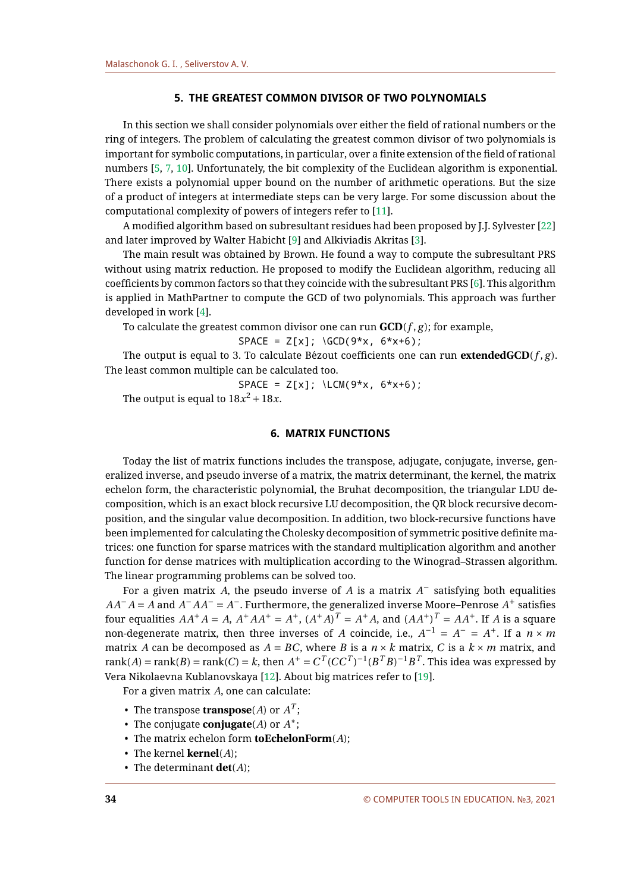# **5. THE GREATEST COMMON DIVISOR OF TWO POLYNOMIALS**

In this section we shall consider polynomials over either the field of rational numbers or the ring of integers. The problem of calculating the greatest common divisor of two polynomials is important for symbolic computations, in particular, over a finite extension of the field of rational numbers [\[5,](#page-9-7) [7,](#page-9-8) [10\]](#page-9-9). Unfortunately, the bit complexity of the Euclidean algorithm is exponential. There exists a polynomial upper bound on the number of arithmetic operations. But the size of a product of integers at intermediate steps can be very large. For some discussion about the computational complexity of powers of integers refer to [\[11\]](#page-9-10).

A modified algorithm based on subresultant residues had been proposed by J.J. Sylvester [\[22\]](#page-10-7) and later improved by Walter Habicht [\[9\]](#page-9-11) and Alkiviadis Akritas [\[3\]](#page-9-3).

The main result was obtained by Brown. He found a way to compute the subresultant PRS without using matrix reduction. He proposed to modify the Euclidean algorithm, reducing all coefficients by common factors so that they coincide with the subresultant PRS [\[6\]](#page-9-12). This algorithm is applied in MathPartner to compute the GCD of two polynomials. This approach was further developed in work [\[4\]](#page-9-4).

To calculate the greatest common divisor one can run  $GCD(f, g)$ ; for example,

$$
SPACE = Z[x]; \ (GCD(9*x, 6*x+6);
$$

The output is equal to 3. To calculate Bézout coefficients one can run **extendedGCD** $(f, g)$ . The least common multiple can be calculated too.

 $SPACE = Z[x]; \ \ \text{LCM}(9*x, 6*x+6);$ 

The output is equal to  $18x^2 + 18x$ .

# **6. MATRIX FUNCTIONS**

Today the list of matrix functions includes the transpose, adjugate, conjugate, inverse, generalized inverse, and pseudo inverse of a matrix, the matrix determinant, the kernel, the matrix echelon form, the characteristic polynomial, the Bruhat decomposition, the triangular LDU decomposition, which is an exact block recursive LU decomposition, the QR block recursive decomposition, and the singular value decomposition. In addition, two block-recursive functions have been implemented for calculating the Cholesky decomposition of symmetric positive definite matrices: one function for sparse matrices with the standard multiplication algorithm and another function for dense matrices with multiplication according to the Winograd–Strassen algorithm. The linear programming problems can be solved too.

For a given matrix *A*, the pseudo inverse of *A* is a matrix *A* <sup>−</sup> satisfying both equalities  $AA^{-}A = A$  and  $A^{-}AA^{-} = A^{-}$ . Furthermore, the generalized inverse Moore–Penrose  $A^{+}$  satisfies four equalities  $AA^+A = A$ ,  $A^+AA^+ = A^+$ ,  $(A^+A)^T = A^+A$ , and  $(AA^+)^T = AA^+$ . If *A* is a square non-degenerate matrix, then three inverses of *A* coincide, i.e.,  $A^{-1} = A^{-} = A^{+}$ . If a  $n \times m$ matrix *A* can be decomposed as  $A = BC$ , where *B* is a  $n \times k$  matrix, *C* is a  $k \times m$  matrix, and rank(*A*) = rank(*B*) = rank(*C*) = *k*, then  $A^+ = C^T (CC^T)^{-1} (B^T B)^{-1} B^T$ . This idea was expressed by Vera Nikolaevna Kublanovskaya [\[12\]](#page-9-13). About big matrices refer to [\[19\]](#page-10-8).

For a given matrix *A*, one can calculate:

- The transpose **transpose**(A) or  $A^T$ ;
- The conjugate **conjugate**(*A*) or *A* ∗ ;
- The matrix echelon form **toEchelonForm**(*A*);
- The kernel **kernel**(*A*);
- The determinant **det**(*A*);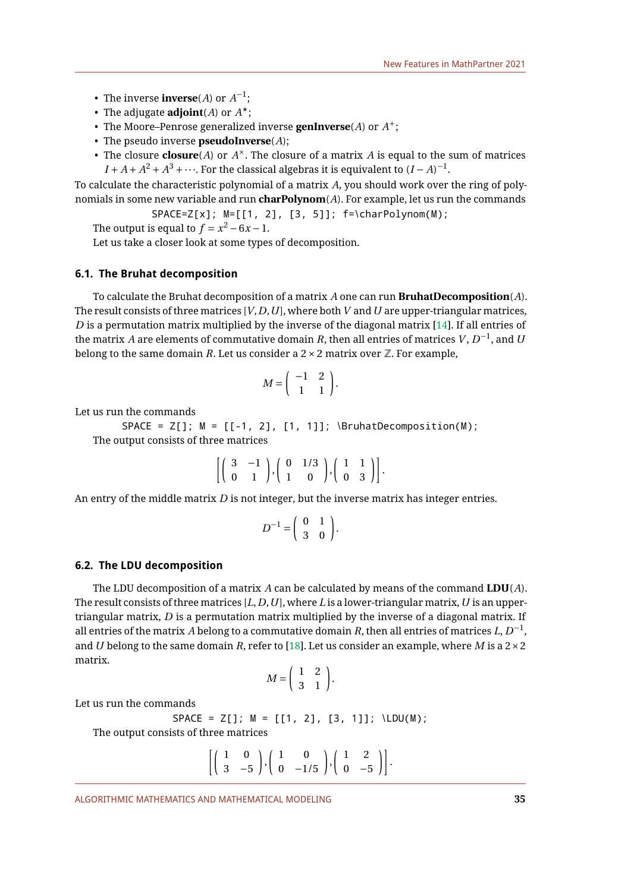- The inverse **inverse**(*A*) or  $A^{-1}$ ;
- The adjugate **adjoint**(*A*) or *A* ⋆;
- The Moore–Penrose generalized inverse **genInverse**(*A*) or *A* +;
- The pseudo inverse **pseudoInverse**(*A*);
- The closure  $\mathbf{closure}(A)$  or  $A^{\times}$ . The closure of a matrix  $A$  is equal to the sum of matrices  $I + A + A^2 + A^3 + \cdots$ . For the classical algebras it is equivalent to  $(I - A)^{-1}$ .

To calculate the characteristic polynomial of a matrix *A*, you should work over the ring of polynomials in some new variable and run **charPolynom**(*A*). For example, let us run the commands

SPACE=Z[x]; M=[[1, 2], [3, 5]]; f=\charPolynom(M);

The output is equal to  $f = x^2 - 6x - 1$ .

Let us take a closer look at some types of decomposition.

## **6.1. The Bruhat decomposition**

To calculate the Bruhat decomposition of a matrix *A* one can run **BruhatDecomposition**(*A*). The result consists of three matrices [*V*,*D*,*U*], where both*V* and*U* are upper-triangular matrices, *D* is a permutation matrix multiplied by the inverse of the diagonal matrix [\[14\]](#page-9-6). If all entries of the matrix  $A$  are elements of commutative domain  $R$ , then all entries of matrices  $V, D^{-1}$ , and  $U$ belong to the same domain *R*. Let us consider a  $2 \times 2$  matrix over  $\mathbb{Z}$ . For example,

$$
M = \left( \begin{array}{cc} -1 & 2 \\ 1 & 1 \end{array} \right).
$$

Let us run the commands

 $SPACE = Z[]$ ;  $M = [[-1, 2], [1, 1]]$ ;  $\text{BruhatDecomposition}(M)$ ; The output consists of three matrices

|  | $\left[\left(\begin{array}{rrr}3 & -1 \\ 0 & 1 \end{array}\right), \left(\begin{array}{rrr}0 & 1/3 \\ 1 & 0 \end{array}\right), \left(\begin{array}{rrr}1 & 1 \\ 0 & 3 \end{array}\right)\right].$ |  |  |  |
|--|----------------------------------------------------------------------------------------------------------------------------------------------------------------------------------------------------|--|--|--|

An entry of the middle matrix *D* is not integer, but the inverse matrix has integer entries.

$$
D^{-1} = \left(\begin{array}{cc} 0 & 1 \\ 3 & 0 \end{array}\right).
$$

#### **6.2. The LDU decomposition**

The LDU decomposition of a matrix A can be calculated by means of the command  $LDU(A)$ . The result consists of three matrices [*L*,*D*,*U*], where *L* is a lower-triangular matrix,*U* is an uppertriangular matrix, *D* is a permutation matrix multiplied by the inverse of a diagonal matrix. If all entries of the matrix  $\overline{A}$  belong to a commutative domain  $R$ , then all entries of matrices  $L, D^{-1},$ and *U* belong to the same domain *R*, refer to [\[18\]](#page-10-5). Let us consider an example, where *M* is a  $2 \times 2$ matrix.

$$
M = \left(\begin{array}{cc} 1 & 2 \\ 3 & 1 \end{array}\right).
$$

Let us run the commands

$$
SPACE = Z[]; M = [[1, 2], [3, 1]]; \text{LDU(M)};
$$

The output consists of three matrices

$$
\left[\left(\begin{array}{cc} 1 & 0 \\ 3 & -5 \end{array}\right), \left(\begin{array}{cc} 1 & 0 \\ 0 & -1/5 \end{array}\right), \left(\begin{array}{cc} 1 & 2 \\ 0 & -5 \end{array}\right)\right].
$$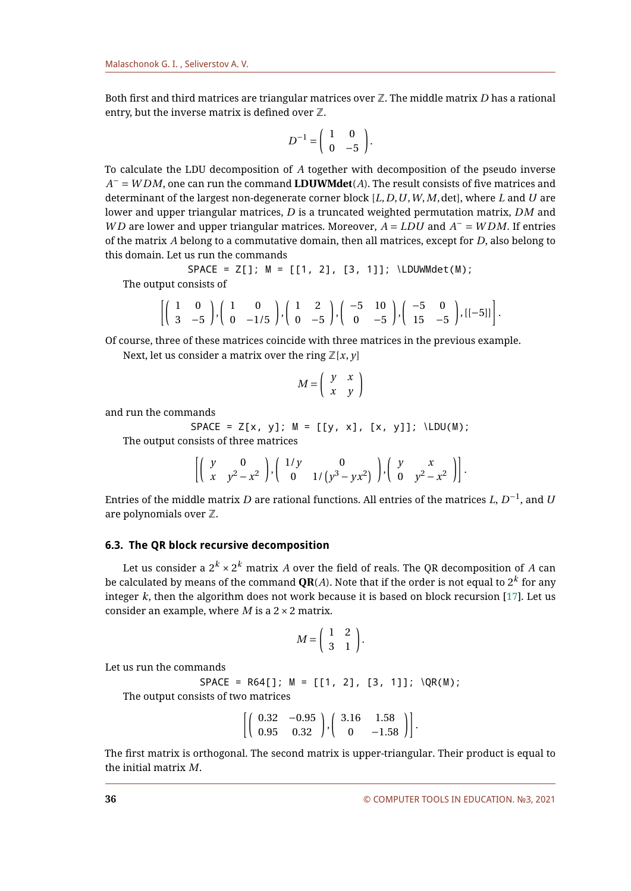Both first and third matrices are triangular matrices over Z. The middle matrix *D* has a rational entry, but the inverse matrix is defined over  $\mathbb{Z}$ .

$$
D^{-1} = \left(\begin{array}{cc} 1 & 0 \\ 0 & -5 \end{array}\right).
$$

To calculate the LDU decomposition of *A* together with decomposition of the pseudo inverse *A* <sup>−</sup> = *W DM*, one can run the command **LDUWMdet**(*A*). The result consists of five matrices and determinant of the largest non-degenerate corner block [*L*,*D*,*U*,*W*,*M*,det], where *L* and *U* are lower and upper triangular matrices, *D* is a truncated weighted permutation matrix, *DM* and *WD* are lower and upper triangular matrices. Moreover,  $\overline{A} = L\overline{D}U$  and  $\overline{A}^{-} = W\overline{D}M$ . If entries of the matrix *A* belong to a commutative domain, then all matrices, except for *D*, also belong to this domain. Let us run the commands

 $SPACE = Z[]$ ;  $M = [[1, 2], [3, 1]]$ ; \LDUWMdet(M); The output consists of

$$
\left[\left(\begin{array}{cc}1 & 0 \\ 3 & -5\end{array}\right), \left(\begin{array}{cc}1 & 0 \\ 0 & -1/5\end{array}\right), \left(\begin{array}{cc}1 & 2 \\ 0 & -5\end{array}\right), \left(\begin{array}{cc}-5 & 10 \\ 0 & -5\end{array}\right), \left(\begin{array}{cc}-5 & 0 \\ 15 & -5\end{array}\right), \left[\left[-5\right]\right]\right].
$$

Of course, three of these matrices coincide with three matrices in the previous example.

Next, let us consider a matrix over the ring  $\mathbb{Z}[x, y]$ 

$$
M = \left(\begin{array}{cc} y & x \\ x & y \end{array}\right)
$$

and run the commands

 $SPACE = Z[x, y]; M = [[y, x], [x, y]]; \LDU(M);$ 

The output consists of three matrices

$$
\left[\left(\begin{array}{cc}y & 0 \\ x & y^2 - x^2\end{array}\right), \left(\begin{array}{cc}1/y & 0 \\ 0 & 1/\left(y^3 - yx^2\right)\end{array}\right), \left(\begin{array}{cc}y & x \\ 0 & y^2 - x^2\end{array}\right)\right].
$$

Entries of the middle matrix  $D$  are rational functions. All entries of the matrices  $L,$   $D^{-1},$  and  $\bar{U}$ are polynomials over  $\mathbb Z$ .

# **6.3. The QR block recursive decomposition**

Let us consider a  $2^k \times 2^k$  matrix  $A$  over the field of reals. The QR decomposition of  $A$  can be calculated by means of the command  $\mathbf{QR}(A).$  Note that if the order is not equal to  $2^k$  for any integer *k*, then the algorithm does not work because it is based on block recursion [\[17\]](#page-10-4). Let us consider an example, where *M* is a 2×2 matrix.

$$
M = \left(\begin{array}{cc} 1 & 2 \\ 3 & 1 \end{array}\right).
$$

Let us run the commands

 $SPACE = R64[]$ ;  $M = [[1, 2], [3, 1]]$ ;  $QR(M)$ ;

The output consists of two matrices

$$
\left[ \left( \begin{array}{cc} 0.32 & -0.95 \\ 0.95 & 0.32 \end{array} \right), \left( \begin{array}{cc} 3.16 & 1.58 \\ 0 & -1.58 \end{array} \right) \right].
$$

The first matrix is orthogonal. The second matrix is upper-triangular. Their product is equal to the initial matrix *M*.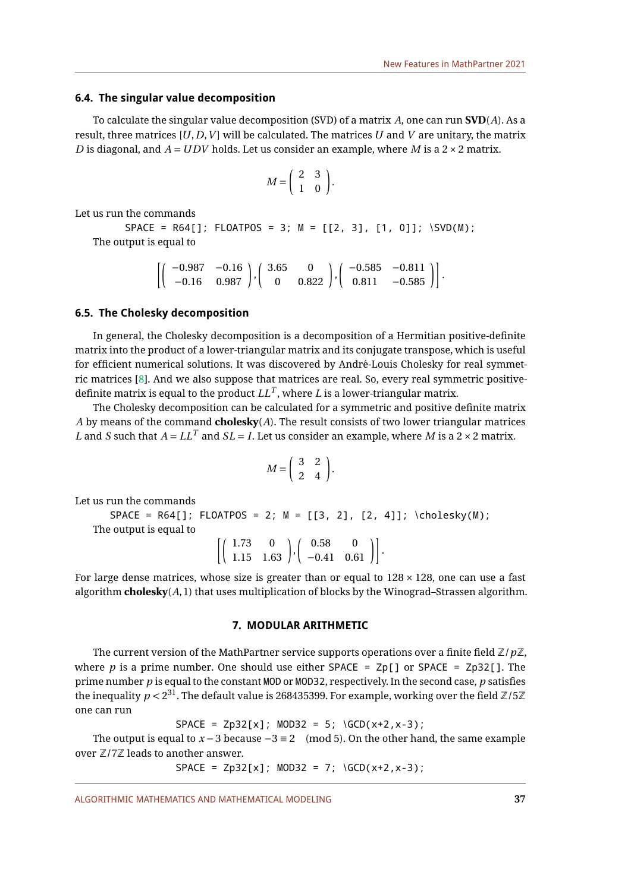### **6.4. The singular value decomposition**

To calculate the singular value decomposition (SVD) of a matrix *A*, one can run **SVD**(*A*). As a result, three matrices  $[U, D, V]$  will be calculated. The matrices  $U$  and  $V$  are unitary, the matrix *D* is diagonal, and *A* =*UDV* holds. Let us consider an example, where *M* is a 2×2 matrix.

$$
M = \left(\begin{array}{cc} 2 & 3 \\ 1 & 0 \end{array}\right).
$$

Let us run the commands

# $SPACE = R64[]$ ; FLOATPOS = 3; M = [[2, 3], [1, 0]]; \SVD(M); The output is equal to

$$
\left[\left(\begin{array}{cc}-0.987 & -0.16\\-0.16 & 0.987\end{array}\right), \left(\begin{array}{cc}3.65 & 0\\0 & 0.822\end{array}\right), \left(\begin{array}{cc}-0.585 & -0.811\\0.811 & -0.585\end{array}\right)\right].
$$

# **6.5. The Cholesky decomposition**

In general, the Cholesky decomposition is a decomposition of a Hermitian positive-definite matrix into the product of a lower-triangular matrix and its conjugate transpose, which is useful for efficient numerical solutions. It was discovered by André-Louis Cholesky for real symmetric matrices [\[8\]](#page-9-5). And we also suppose that matrices are real. So, every real symmetric positivedefinite matrix is equal to the product  $LL^T$ , where  $L$  is a lower-triangular matrix.

The Cholesky decomposition can be calculated for a symmetric and positive definite matrix *A* by means of the command **cholesky**(*A*). The result consists of two lower triangular matrices *L* and *S* such that  $A = LL^T$  and  $SL = I$ . Let us consider an example, where M is a 2  $\times$  2 matrix.

$$
M = \left(\begin{array}{cc} 3 & 2 \\ 2 & 4 \end{array}\right).
$$

Let us run the commands

 $SPACE = R64[]$ ; FLOATPOS = 2; M =  $[3, 2], [2, 4]]$ ; \cholesky(M); The output is equal to  $\left[\left(\begin{array}{cc} 1.73 & 0 \\ 1.15 & 1.63 \end{array}\right), \left(\begin{array}{cc} 0.58 & 0 \\ -0.41 & 0.61 \end{array}\right)\right].$ 

For large dense matrices, whose size is greater than or equal to  $128 \times 128$ , one can use a fast algorithm **cholesky**(*A*,1) that uses multiplication of blocks by the Winograd–Strassen algorithm.

### **7. MODULAR ARITHMETIC**

The current version of the MathPartner service supports operations over a finite field  $\mathbb{Z}/p\mathbb{Z}$ , where *p* is a prime number. One should use either SPACE =  $Zp[1]$  or SPACE =  $Zp[32]$ . The prime number *p* is equal to the constant MOD or MOD32, respectively. In the second case, *p* satisfies the inequality  $p < 2^{31}.$  The default value is 268435399. For example, working over the field  $\mathbb{Z}/5\mathbb{Z}$ one can run

 $SPACE = Zp32[x]; MOD32 = 5; \ GCD(x+2,x-3);$ 

The output is equal to  $x - 3$  because  $-3 \equiv 2 \pmod{5}$ . On the other hand, the same example over  $\mathbb{Z}/7\mathbb{Z}$  leads to another answer.

 $SPACE = Zp32[x]; MOD32 = 7; \ GCD(x+2,x-3);$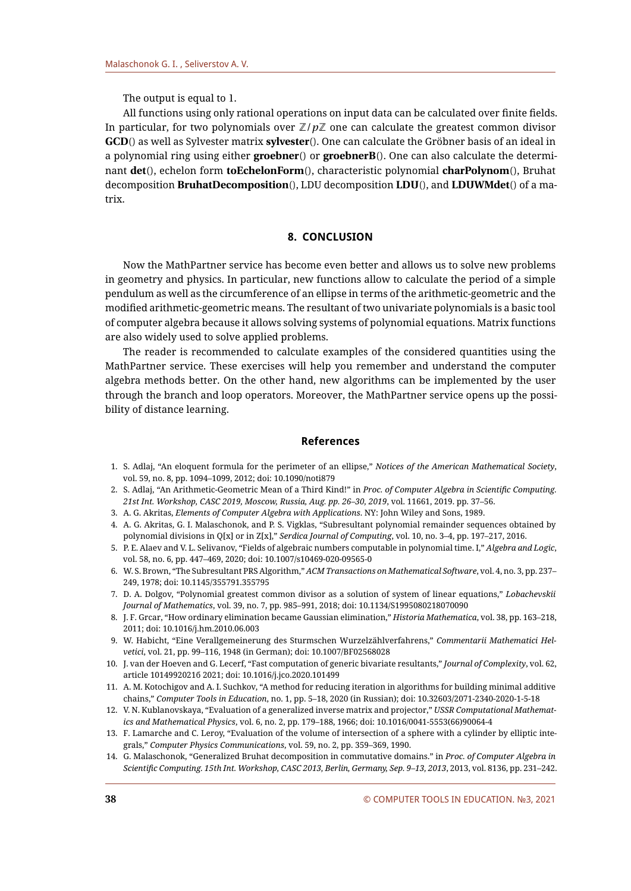The output is equal to 1.

All functions using only rational operations on input data can be calculated over finite fields. In particular, for two polynomials over  $\mathbb{Z}/p\mathbb{Z}$  one can calculate the greatest common divisor **GCD**() as well as Sylvester matrix **sylvester**(). One can calculate the Gröbner basis of an ideal in a polynomial ring using either **groebner**() or **groebnerB**(). One can also calculate the determinant **det**(), echelon form **toEchelonForm**(), characteristic polynomial **charPolynom**(), Bruhat decomposition **BruhatDecomposition**(), LDU decomposition **LDU**(), and **LDUWMdet**() of a matrix.

# **8. CONCLUSION**

Now the MathPartner service has become even better and allows us to solve new problems in geometry and physics. In particular, new functions allow to calculate the period of a simple pendulum as well as the circumference of an ellipse in terms of the arithmetic-geometric and the modified arithmetic-geometric means. The resultant of two univariate polynomials is a basic tool of computer algebra because it allows solving systems of polynomial equations. Matrix functions are also widely used to solve applied problems.

The reader is recommended to calculate examples of the considered quantities using the MathPartner service. These exercises will help you remember and understand the computer algebra methods better. On the other hand, new algorithms can be implemented by the user through the branch and loop operators. Moreover, the MathPartner service opens up the possibility of distance learning.

# **References**

- <span id="page-9-0"></span>1. S. Adlaj, "An eloquent formula for the perimeter of an ellipse," *Notices of the American Mathematical Society*, vol. 59, no. 8, pp. 1094–1099, 2012; doi: 10.1090/noti879
- <span id="page-9-1"></span>2. S. Adlaj, "An Arithmetic-Geometric Mean of a Third Kind!" in *Proc. of Computer Algebra in Scientific Computing. 21st Int. Workshop, CASC 2019, Moscow, Russia, Aug. pp. 26–30, 2019*, vol. 11661, 2019. pp. 37–56.
- <span id="page-9-3"></span>3. A. G. Akritas, *Elements of Computer Algebra with Applications*. NY: John Wiley and Sons, 1989.
- <span id="page-9-4"></span>4. A. G. Akritas, G. I. Malaschonok, and P. S. Vigklas, "Subresultant polynomial remainder sequences obtained by polynomial divisions in Q[x] or in Z[x]," *Serdica Journal of Computing*, vol. 10, no. 3–4, pp. 197–217, 2016.
- <span id="page-9-7"></span>5. P. E. Alaev and V. L. Selivanov, "Fields of algebraic numbers computable in polynomial time. I," *Algebra and Logic*, vol. 58, no. 6, pp. 447–469, 2020; doi: 10.1007/s10469-020-09565-0
- <span id="page-9-12"></span>6. W. S. Brown, "The Subresultant PRS Algorithm," *ACM Transactions on Mathematical Software*, vol. 4, no. 3, pp. 237– 249, 1978; doi: 10.1145/355791.355795
- <span id="page-9-8"></span>7. D. A. Dolgov, "Polynomial greatest common divisor as a solution of system of linear equations," *Lobachevskii Journal of Mathematics*, vol. 39, no. 7, pp. 985–991, 2018; doi: 10.1134/S1995080218070090
- <span id="page-9-5"></span>8. J. F. Grcar, "How ordinary elimination became Gaussian elimination," *Historia Mathematica*, vol. 38, pp. 163–218, 2011; doi: 10.1016/j.hm.2010.06.003
- <span id="page-9-11"></span>9. W. Habicht, "Eine Verallgemeinerung des Sturmschen Wurzelzählverfahrens," Commentarii Mathematici Hel*vetici*, vol. 21, pp. 99–116, 1948 (in German); doi: 10.1007/BF02568028
- <span id="page-9-9"></span>10. J. van der Hoeven and G. Lecerf, "Fast computation of generic bivariate resultants," *Journal of Complexity*, vol. 62, article 1014992021б 2021; doi: 10.1016/j.jco.2020.101499
- <span id="page-9-10"></span>11. A. M. Kotochigov and A. I. Suchkov, "A method for reducing iteration in algorithms for building minimal additive chains," *Computer Tools in Education*, no. 1, pp. 5–18, 2020 (in Russian); doi: 10.32603/2071-2340-2020-1-5-18
- <span id="page-9-13"></span>12. V. N. Kublanovskaya, "Evaluation of a generalized inverse matrix and projector," *USSR Computational Mathematics and Mathematical Physics*, vol. 6, no. 2, pp. 179–188, 1966; doi: 10.1016/0041-5553(66)90064-4
- <span id="page-9-2"></span>13. F. Lamarche and C. Leroy, "Evaluation of the volume of intersection of a sphere with a cylinder by elliptic integrals," *Computer Physics Communications*, vol. 59, no. 2, pp. 359–369, 1990.
- <span id="page-9-6"></span>14. G. Malaschonok, "Generalized Bruhat decomposition in commutative domains." in *Proc. of Computer Algebra in Scientific Computing. 15th Int. Workshop, CASC 2013, Berlin, Germany, Sep. 9–13, 2013*, 2013, vol. 8136, pp. 231–242.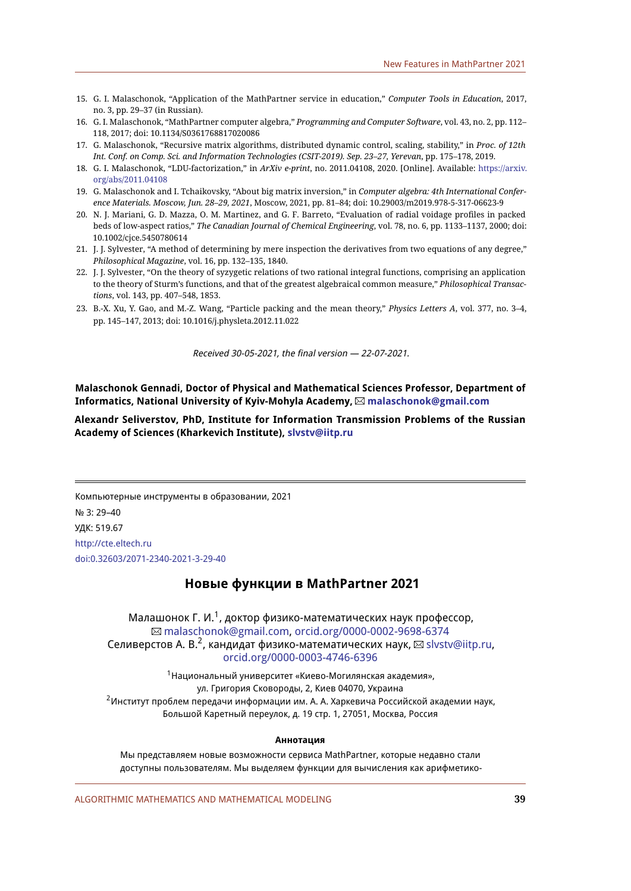- <span id="page-10-0"></span>15. G. I. Malaschonok, "Application of the MathPartner service in education," *Computer Tools in Education*, 2017, no. 3, pp. 29–37 (in Russian).
- <span id="page-10-1"></span>16. G. I. Malaschonok, "MathPartner computer algebra," *Programming and Computer Software*, vol. 43, no. 2, pp. 112– 118, 2017; doi: 10.1134/S0361768817020086
- <span id="page-10-4"></span>17. G. Malaschonok, "Recursive matrix algorithms, distributed dynamic control, scaling, stability," in *Proc. of 12th Int. Conf. on Comp. Sci. and Information Technologies (CSIT-2019). Sep. 23–27, Yerevan*, pp. 175–178, 2019.
- <span id="page-10-5"></span>18. G. I. Malaschonok, "LDU-factorization," in *ArXiv e-print*, no. 2011.04108, 2020. [Online]. Available: [https://arxiv.](https://arxiv.org/abs/2011.04108) [org/abs/2011.04108](https://arxiv.org/abs/2011.04108)
- <span id="page-10-8"></span>19. G. Malaschonok and I. Tchaikovsky, "About big matrix inversion," in *Computer algebra: 4th International Conference Materials. Moscow, Jun. 28–29, 2021*, Moscow, 2021, pp. 81–84; doi: 10.29003/m2019.978-5-317-06623-9
- <span id="page-10-2"></span>20. N. J. Mariani, G. D. Mazza, O. M. Martinez, and G. F. Barreto, "Evaluation of radial voidage profiles in packed beds of low-aspect ratios," *The Canadian Journal of Chemical Engineering*, vol. 78, no. 6, pp. 1133–1137, 2000; doi: 10.1002/cjce.5450780614
- <span id="page-10-6"></span>21. J. J. Sylvester, "A method of determining by mere inspection the derivatives from two equations of any degree," *Philosophical Magazine*, vol. 16, pp. 132–135, 1840.
- <span id="page-10-7"></span>22. J. J. Sylvester, "On the theory of syzygetic relations of two rational integral functions, comprising an application to the theory of Sturm's functions, and that of the greatest algebraical common measure," *Philosophical Transactions*, vol. 143, pp. 407–548, 1853.
- <span id="page-10-3"></span>23. B.-X. Xu, Y. Gao, and M.-Z. Wang, "Particle packing and the mean theory," *Physics Letters A*, vol. 377, no. 3–4, pp. 145–147, 2013; doi: 10.1016/j.physleta.2012.11.022

Received 30-05-2021, the final version — 22-07-2021.

**Malaschonok Gennadi, Doctor of Physical and Mathematical Sciences Professor, Department of Informatics, National University of Kyiv-Mohyla Academy, [malaschonok@gmail.com](mailto:malaschonok@gmail.com)**

**Alexandr Seliverstov, PhD, Institute for Information Transmission Problems of the Russian Academy of Sciences (Kharkevich Institute), [slvstv@iitp.ru](mailto:slvstv@iitp.ru)**

Компьютерные инструменты в образовании, 2021 № 3: 29–40 УДК: 519.67 <http://cte.eltech.ru> [doi:0.32603/2071-2340-2021-3-29-40](http://dx.doi.org/0.32603/2071-2340-2021-3-29-40)

# **Новые функции в MathPartner 2021**

Малашонок Г. И.<sup>1</sup>, доктор физико-математических наук профессор, [malaschonok@gmail.com,](mailto:malaschonok@gmail.com) [orcid.org/0000-0002-9698-6374](http://orcid.org/0000-0002-9698-6374) Селиверстов А. В.<sup>2</sup>, кандидат физико-математических наук,  $\boxtimes$  [slvstv@iitp.ru,](mailto:slvstv@iitp.ru) [orcid.org/0000-0003-4746-6396](http://orcid.org/0000-0003-4746-6396)

<sup>1</sup>Национальный университет «Киево-Могилянская академия», ул. Григория Сковороды, 2, Киев 04070, Украина <sup>2</sup>Институт проблем передачи информации им. А. А. Харкевича Российской академии наук, Большой Каретный переулок, д. 19 стр. 1, 27051, Москва, Россия

#### **Аннотация**

Мы представляем новые возможности сервиса MathPartner, которые недавно стали доступны пользователям. Мы выделяем функции для вычисления как арифметико-

ALGORITHMIC MATHEMATICS AND MATHEMATICAL MODELING **39**